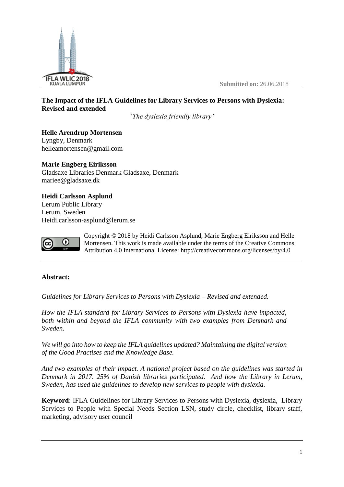

**Submitted on:** 26.06.2018

# **The Impact of the IFLA Guidelines for Library Services to Persons with Dyslexia: Revised and extended**

*"The dyslexia friendly library"*

**Helle Arendrup Mortensen**  Lyngby, Denmark helleamortensen@gmail.com

**Marie Engberg Eiriksson**  Gladsaxe Libraries Denmark Gladsaxe, Denmark mariee@gladsaxe.dk

**Heidi Carlsson Asplund** Lerum Public Library Lerum, Sweden Heidi.carlsson-asplund@lerum.se



Copyright © 2018 by Heidi Carlsson Asplund, Marie Engberg Eiriksson and Helle Mortensen. This work is made available under the terms of the Creative Commons Attribution 4.0 International License: <http://creativecommons.org/licenses/by/4.0>

## **Abstract:**

*Guidelines for Library Services to Persons with Dyslexia – Revised and extended.*

*How the IFLA standard for Library Services to Persons with Dyslexia have impacted, both within and beyond the IFLA community with two examples from Denmark and Sweden.* 

*We will go into how to keep the IFLA guidelines updated? Maintaining the digital version of the Good Practises and the Knowledge Base.*

*And two examples of their impact. A national project based on the guidelines was started in Denmark in 2017. 25% of Danish libraries participated. And how the Library in Lerum, Sweden, has used the guidelines to develop new services to people with dyslexia.*

**Keyword**: IFLA Guidelines for Library Services to Persons with Dyslexia, dyslexia, Library Services to People with Special Needs Section LSN, study circle, checklist, library staff, marketing, advisory user council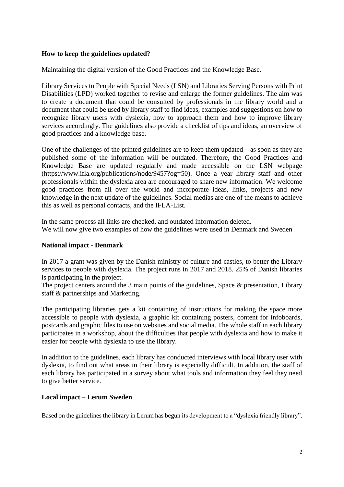### **How to keep the guidelines updated**?

Maintaining the digital version of the Good Practices and the Knowledge Base.

Library Services to People with Special Needs (LSN) and Libraries Serving Persons with Print Disabilities (LPD) worked together to revise and enlarge the former guidelines. The aim was to create a document that could be consulted by professionals in the library world and a document that could be used by library staff to find ideas, examples and suggestions on how to recognize library users with dyslexia, how to approach them and how to improve library services accordingly. The guidelines also provide a checklist of tips and ideas, an overview of good practices and a knowledge base.

One of the challenges of the printed guidelines are to keep them updated – as soon as they are published some of the information will be outdated. Therefore, the Good Practices and Knowledge Base are updated regularly and made accessible on the LSN webpage (https://www.ifla.org/publications/node/9457?og=50). Once a year library staff and other professionals within the dyslexia area are encouraged to share new information. We welcome good practices from all over the world and incorporate ideas, links, projects and new knowledge in the next update of the guidelines. Social medias are one of the means to achieve this as well as personal contacts, and the IFLA-List.

In the same process all links are checked, and outdated information deleted. We will now give two examples of how the guidelines were used in Denmark and Sweden

### **National impact - Denmark**

In 2017 a grant was given by the Danish ministry of culture and castles, to better the Library services to people with dyslexia. The project runs in 2017 and 2018. 25% of Danish libraries is participating in the project.

The project centers around the 3 main points of the guidelines, Space & presentation, Library staff & partnerships and Marketing.

The participating libraries gets a kit containing of instructions for making the space more accessible to people with dyslexia, a graphic kit containing posters, content for infoboards, postcards and graphic files to use on websites and social media. The whole staff in each library participates in a workshop, about the difficulties that people with dyslexia and how to make it easier for people with dyslexia to use the library.

In addition to the guidelines, each library has conducted interviews with local library user with dyslexia, to find out what areas in their library is especially difficult. In addition, the staff of each library has participated in a survey about what tools and information they feel they need to give better service.

## **Local impact – Lerum Sweden**

Based on the guidelines the library in Lerum has begun its development to a "dyslexia friendly library".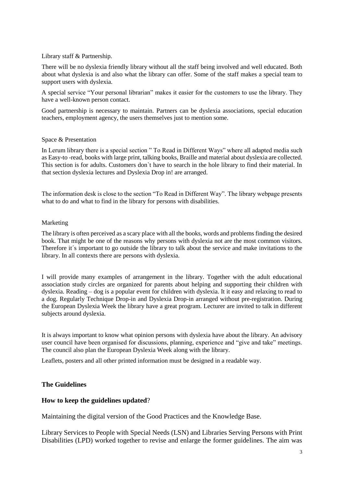#### Library staff & Partnership.

There will be no dyslexia friendly library without all the staff being involved and well educated. Both about what dyslexia is and also what the library can offer. Some of the staff makes a special team to support users with dyslexia.

A special service "Your personal librarian" makes it easier for the customers to use the library. They have a well-known person contact.

Good partnership is necessary to maintain. Partners can be dyslexia associations, special education teachers, employment agency, the users themselves just to mention some.

#### Space & Presentation

In Lerum library there is a special section " To Read in Different Ways" where all adapted media such as Easy-to -read, books with large print, talking books, Braille and material about dyslexia are collected. This section is for adults. Customers don`t have to search in the hole library to find their material. In that section dyslexia lectures and Dyslexia Drop in! are arranged.

The information desk is close to the section "To Read in Different Way". The library webpage presents what to do and what to find in the library for persons with disabilities.

#### Marketing

The library is often perceived as a scary place with all the books, words and problems finding the desired book. That might be one of the reasons why persons with dyslexia not are the most common visitors. Therefore it´s important to go outside the library to talk about the service and make invitations to the library. In all contexts there are persons with dyslexia.

I will provide many examples of arrangement in the library. Together with the adult educational association study circles are organized for parents about helping and supporting their children with dyslexia. Reading – dog is a popular event for children with dyslexia. It it easy and relaxing to read to a dog. Regularly Technique Drop-in and Dyslexia Drop-in arranged without pre-registration. During the European Dyslexia Week the library have a great program. Lecturer are invited to talk in different subjects around dyslexia.

It is always important to know what opinion persons with dyslexia have about the library. An advisory user council have been organised for discussions, planning, experience and "give and take" meetings. The council also plan the European Dyslexia Week along with the library.

Leaflets, posters and all other printed information must be designed in a readable way.

### **The Guidelines**

### **How to keep the guidelines updated**?

Maintaining the digital version of the Good Practices and the Knowledge Base.

Library Services to People with Special Needs (LSN) and Libraries Serving Persons with Print Disabilities (LPD) worked together to revise and enlarge the former guidelines. The aim was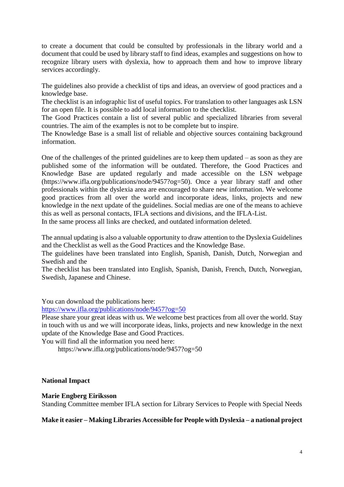to create a document that could be consulted by professionals in the library world and a document that could be used by library staff to find ideas, examples and suggestions on how to recognize library users with dyslexia, how to approach them and how to improve library services accordingly.

The guidelines also provide a checklist of tips and ideas, an overview of good practices and a knowledge base.

The checklist is an infographic list of useful topics. For translation to other languages ask LSN for an open file. It is possible to add local information to the checklist.

The Good Practices contain a list of several public and specialized libraries from several countries. The aim of the examples is not to be complete but to inspire.

The Knowledge Base is a small list of reliable and objective sources containing background information.

One of the challenges of the printed guidelines are to keep them updated – as soon as they are published some of the information will be outdated. Therefore, the Good Practices and Knowledge Base are updated regularly and made accessible on the LSN webpage (https://www.ifla.org/publications/node/9457?og=50). Once a year library staff and other professionals within the dyslexia area are encouraged to share new information. We welcome good practices from all over the world and incorporate ideas, links, projects and new knowledge in the next update of the guidelines. Social medias are one of the means to achieve this as well as personal contacts, IFLA sections and divisions, and the IFLA-List. In the same process all links are checked, and outdated information deleted.

The annual updating is also a valuable opportunity to draw attention to the Dyslexia Guidelines and the Checklist as well as the Good Practices and the Knowledge Base.

The guidelines have been translated into English, Spanish, Danish, Dutch, Norwegian and Swedish and the

The checklist has been translated into English, Spanish, Danish, French, Dutch, Norwegian, Swedish, Japanese and Chinese.

You can download the publications here:

<https://www.ifla.org/publications/node/9457?og=50>

Please share your great ideas with us. We welcome best practices from all over the world. Stay in touch with us and we will incorporate ideas, links, projects and new knowledge in the next update of the Knowledge Base and Good Practices.

You will find all the information you need here:

<https://www.ifla.org/publications/node/9457?og=50>

### **National Impact**

### **Marie Engberg Eiriksson**

Standing Committee member IFLA section for Library Services to People with Special Needs

### **Make it easier – Making Libraries Accessible for People with Dyslexia – a national project**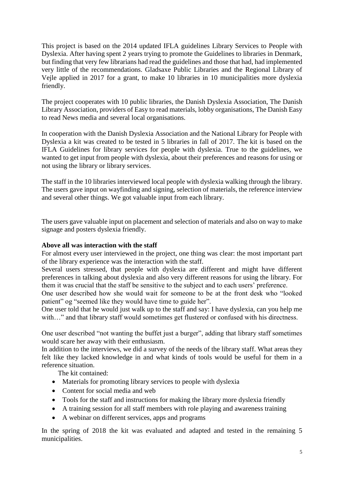This project is based on the 2014 updated IFLA guidelines Library Services to People with Dyslexia. After having spent 2 years trying to promote the Guidelines to libraries in Denmark, but finding that very few librarians had read the guidelines and those that had, had implemented very little of the recommendations. Gladsaxe Public Libraries and the Regional Library of Vejle applied in 2017 for a grant, to make 10 libraries in 10 municipalities more dyslexia friendly.

The project cooperates with 10 public libraries, the Danish Dyslexia Association, The Danish Library Association, providers of Easy to read materials, lobby organisations, The Danish Easy to read News media and several local organisations.

In cooperation with the Danish Dyslexia Association and the National Library for People with Dyslexia a kit was created to be tested in 5 libraries in fall of 2017. The kit is based on the IFLA Guidelines for library services for people with dyslexia. True to the guidelines, we wanted to get input from people with dyslexia, about their preferences and reasons for using or not using the library or library services.

The staff in the 10 libraries interviewed local people with dyslexia walking through the library. The users gave input on wayfinding and signing, selection of materials, the reference interview and several other things. We got valuable input from each library.

The users gave valuable input on placement and selection of materials and also on way to make signage and posters dyslexia friendly.

### **Above all was interaction with the staff**

For almost every user interviewed in the project, one thing was clear: the most important part of the library experience was the interaction with the staff.

Several users stressed, that people with dyslexia are different and might have different preferences in talking about dyslexia and also very different reasons for using the library. For them it was crucial that the staff be sensitive to the subject and to each users' preference.

One user described how she would wait for someone to be at the front desk who "looked patient" og "seemed like they would have time to guide her".

One user told that he would just walk up to the staff and say: I have dyslexia, can you help me with..." and that library staff would sometimes get flustered or confused with his directness.

One user described "not wanting the buffet just a burger", adding that library staff sometimes would scare her away with their enthusiasm.

In addition to the interviews, we did a survey of the needs of the library staff. What areas they felt like they lacked knowledge in and what kinds of tools would be useful for them in a reference situation.

The kit contained:

- Materials for promoting library services to people with dyslexia
- Content for social media and web
- Tools for the staff and instructions for making the library more dyslexia friendly
- A training session for all staff members with role playing and awareness training
- A webinar on different services, apps and programs

In the spring of 2018 the kit was evaluated and adapted and tested in the remaining 5 municipalities.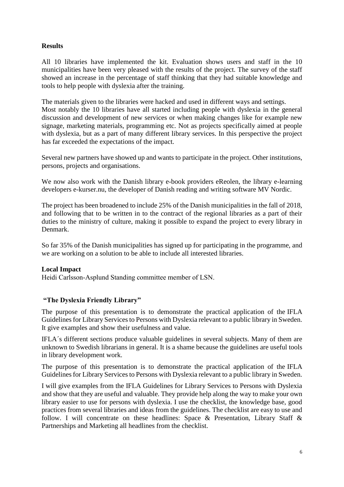# **Results**

All 10 libraries have implemented the kit. Evaluation shows users and staff in the 10 municipalities have been very pleased with the results of the project. The survey of the staff showed an increase in the percentage of staff thinking that they had suitable knowledge and tools to help people with dyslexia after the training.

The materials given to the libraries were hacked and used in different ways and settings. Most notably the 10 libraries have all started including people with dyslexia in the general discussion and development of new services or when making changes like for example new signage, marketing materials, programming etc. Not as projects specifically aimed at people with dyslexia, but as a part of many different library services. In this perspective the project has far exceeded the expectations of the impact.

Several new partners have showed up and wants to participate in the project. Other institutions, persons, projects and organisations.

We now also work with the Danish library e-book providers eReolen, the library e-learning developers e-kurser.nu, the developer of Danish reading and writing software MV Nordic.

The project has been broadened to include 25% of the Danish municipalities in the fall of 2018, and following that to be written in to the contract of the regional libraries as a part of their duties to the ministry of culture, making it possible to expand the project to every library in Denmark.

So far 35% of the Danish municipalities has signed up for participating in the programme, and we are working on a solution to be able to include all interested libraries.

## **Local Impact**

Heidi Carlsson-Asplund Standing committee member of LSN.

## **"The Dyslexia Friendly Library"**

The purpose of this presentation is to demonstrate the practical application of the IFLA Guidelines for Library Services to Persons with Dyslexia relevant to a public library in Sweden. It give examples and show their usefulness and value.

IFLA´s different sections produce valuable guidelines in several subjects. Many of them are unknown to Swedish librarians in general. It is a shame because the guidelines are useful tools in library development work.

The purpose of this presentation is to demonstrate the practical application of the IFLA Guidelines for Library Services to Persons with Dyslexia relevant to a public library in Sweden.

I will give examples from the IFLA Guidelines for Library Services to Persons with Dyslexia and show that they are useful and valuable. They provide help along the way to make your own library easier to use for persons with dyslexia. I use the checklist, the knowledge base, good practices from several libraries and ideas from the guidelines. The checklist are easy to use and follow. I will concentrate on these headlines: Space & Presentation, Library Staff & Partnerships and Marketing all headlines from the checklist.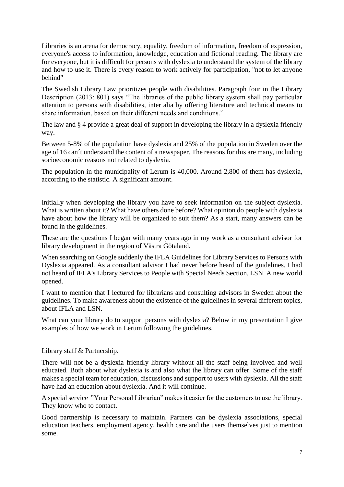Libraries is an arena for democracy, equality, freedom of information, freedom of expression, everyone's access to information, knowledge, education and fictional reading. The library are for everyone, but it is difficult for persons with dyslexia to understand the system of the library and how to use it. There is every reason to work actively for participation, "not to let anyone behind"

The Swedish Library Law prioritizes people with disabilities. Paragraph four in the Library Description (2013: 801) says "The libraries of the public library system shall pay particular attention to persons with disabilities, inter alia by offering literature and technical means to share information, based on their different needs and conditions."

The law and § 4 provide a great deal of support in developing the library in a dyslexia friendly way.

Between 5-8% of the population have dyslexia and 25% of the population in Sweden over the age of 16 can´t understand the content of a newspaper. The reasons for this are many, including socioeconomic reasons not related to dyslexia.

The population in the municipality of Lerum is 40,000. Around 2,800 of them has dyslexia, according to the statistic. A significant amount.

Initially when developing the library you have to seek information on the subject dyslexia. What is written about it? What have others done before? What opinion do people with dyslexia have about how the library will be organized to suit them? As a start, many answers can be found in the guidelines.

These are the questions I began with many years ago in my work as a consultant advisor for library development in the region of Västra Götaland.

When searching on Google suddenly the IFLA Guidelines for Library Services to Persons with Dyslexia appeared. As a consultant advisor I had never before heard of the guidelines. I had not heard of IFLA's Library Services to People with Special Needs Section, LSN. A new world opened.

I want to mention that I lectured for librarians and consulting advisors in Sweden about the guidelines. To make awareness about the existence of the guidelines in several different topics, about IFLA and LSN.

What can your library do to support persons with dyslexia? Below in my presentation I give examples of how we work in Lerum following the guidelines.

### Library staff & Partnership.

There will not be a dyslexia friendly library without all the staff being involved and well educated. Both about what dyslexia is and also what the library can offer. Some of the staff makes a special team for education, discussions and support to users with dyslexia. All the staff have had an education about dyslexia. And it will continue.

A special service "Your Personal Librarian" makes it easier for the customers to use the library. They know who to contact.

Good partnership is necessary to maintain. Partners can be dyslexia associations, special education teachers, employment agency, health care and the users themselves just to mention some.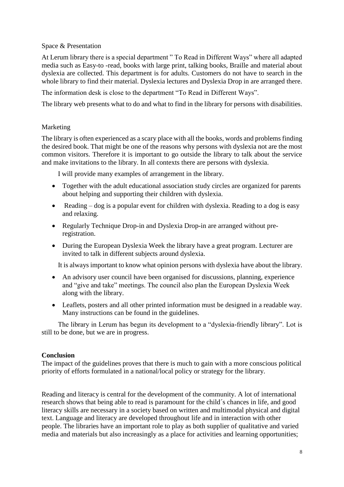Space & Presentation

At Lerum library there is a special department " To Read in Different Ways" where all adapted media such as Easy-to -read, books with large print, talking books, Braille and material about dyslexia are collected. This department is for adults. Customers do not have to search in the whole library to find their material. Dyslexia lectures and Dyslexia Drop in are arranged there.

The information desk is close to the department "To Read in Different Ways".

The library web presents what to do and what to find in the library for persons with disabilities.

# Marketing

The library is often experienced as a scary place with all the books, words and problems finding the desired book. That might be one of the reasons why persons with dyslexia not are the most common visitors. Therefore it is important to go outside the library to talk about the service and make invitations to the library. In all contexts there are persons with dyslexia.

I will provide many examples of arrangement in the library.

- Together with the adult educational association study circles are organized for parents about helping and supporting their children with dyslexia.
- Reading dog is a popular event for children with dyslexia. Reading to a dog is easy and relaxing.
- Regularly Technique Drop-in and Dyslexia Drop-in are arranged without preregistration.
- During the European Dyslexia Week the library have a great program. Lecturer are invited to talk in different subjects around dyslexia.

It is always important to know what opinion persons with dyslexia have about the library.

- An advisory user council have been organised for discussions, planning, experience and "give and take" meetings. The council also plan the European Dyslexia Week along with the library.
- Leaflets, posters and all other printed information must be designed in a readable way. Many instructions can be found in the guidelines.

The library in Lerum has begun its development to a "dyslexia-friendly library". Lot is still to be done, but we are in progress.

## **Conclusion**

The impact of the guidelines proves that there is much to gain with a more conscious political priority of efforts formulated in a national/local policy or strategy for the library.

Reading and literacy is central for the development of the community. A lot of international research shows that being able to read is paramount for the child´s chances in life, and good literacy skills are necessary in a society based on written and multimodal physical and digital text. Language and literacy are developed throughout life and in interaction with other people. The libraries have an important role to play as both supplier of qualitative and varied media and materials but also increasingly as a place for activities and learning opportunities;